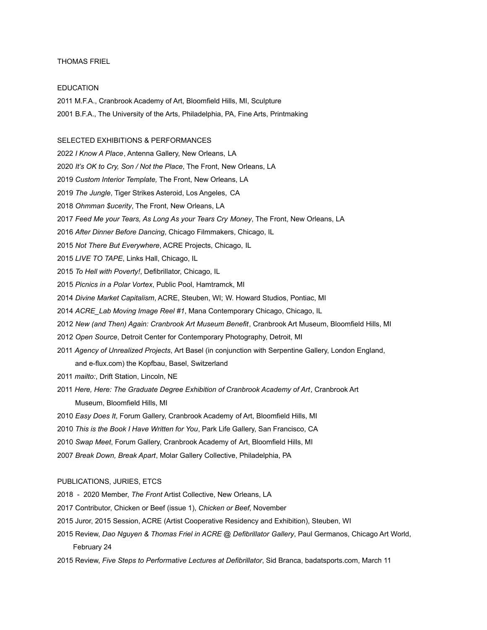## THOMAS FRIEL

## EDUCATION

2011 M.F.A., Cranbrook Academy of Art, Bloomfield Hills, MI, Sculpture 2001 B.F.A., The University of the Arts, Philadelphia, PA, Fine Arts, Printmaking

## SELECTED EXHIBITIONS & PERFORMANCES

*I Know A Place*, Antenna Gallery, New Orleans, LA

*It's OK to Cry, Son / Not the Place*, The Front, New Orleans, LA

*Custom Interior Template,* The Front, New Orleans, LA

*The Jungle*, Tiger Strikes Asteroid, Los Angeles, CA

*Ohmman \$ucerity*, The Front, New Orleans, LA

- *Feed Me your Tears, As Long As your Tears Cry Money*, The Front, New Orleans, LA
- *After Dinner Before Dancing*, Chicago Filmmakers, Chicago, IL

*Not There But Everywhere*, ACRE Projects, Chicago, IL

- *LIVE TO TAPE*, Links Hall, Chicago, IL
- *To Hell with Poverty!*, Defibrillator, Chicago, IL
- *Picnics in a Polar Vortex*, Public Pool, Hamtramck, MI

*Divine Market Capitalism*, ACRE, Steuben, WI; W. Howard Studios, Pontiac, MI

*ACRE\_Lab Moving Image Reel #1*, Mana Contemporary Chicago, Chicago, IL

*New (and Then) Again: Cranbrook Art Museum Benefit*, Cranbrook Art Museum, Bloomfield Hills, MI

- *Open Source*, Detroit Center for Contemporary Photography, Detroit, MI
- *Agency of Unrealized Projects*, Art Basel (in conjunction with Serpentine Gallery, London England, and e-flux.com) the Kopfbau, Basel, Switzerland
- *mailto:*, Drift Station, Lincoln, NE
- *Here, Here: The Graduate Degree Exhibition of Cranbrook Academy of Art*, Cranbrook Art Museum, Bloomfield Hills, MI
- *Easy Does It*, Forum Gallery, Cranbrook Academy of Art, Bloomfield Hills, MI
- *This is the Book I Have Written for You*, Park Life Gallery, San Francisco, CA
- *Swap Meet*, Forum Gallery, Cranbrook Academy of Art, Bloomfield Hills, MI
- *Break Down, Break Apart*, Molar Gallery Collective, Philadelphia, PA

## PUBLICATIONS, JURIES, ETCS

2018 - 2020 Member, *The Front* Artist Collective, New Orleans, LA

- 2017 Contributor, Chicken or Beef (issue 1), *Chicken or Beef*, November
- 2015 Juror, 2015 Session, ACRE (Artist Cooperative Residency and Exhibition), Steuben, WI
- 2015 Review, *Dao Nguyen & Thomas Friel in ACRE @ Defibrillator Gallery*, Paul Germanos, Chicago Art World, February 24
- 2015 Review, *Five Steps to Performative Lectures at Defibrillator*, Sid Branca, badatsports.com, March 11